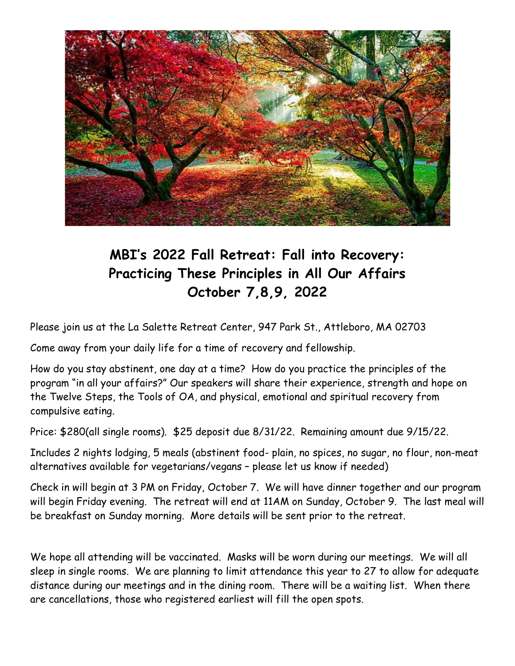

## **MBI's 2022 Fall Retreat: Fall into Recovery: Practicing These Principles in All Our Affairs October 7,8,9, 2022**

Please join us at the La Salette Retreat Center, 947 Park St., Attleboro, MA 02703

Come away from your daily life for a time of recovery and fellowship.

How do you stay abstinent, one day at a time? How do you practice the principles of the program "in all your affairs?" Our speakers will share their experience, strength and hope on the Twelve Steps, the Tools of OA, and physical, emotional and spiritual recovery from compulsive eating.

Price: \$280(all single rooms). \$25 deposit due 8/31/22. Remaining amount due 9/15/22.

Includes 2 nights lodging, 5 meals (abstinent food- plain, no spices, no sugar, no flour, non-meat alternatives available for vegetarians/vegans – please let us know if needed)

Check in will begin at 3 PM on Friday, October 7. We will have dinner together and our program will begin Friday evening. The retreat will end at 11AM on Sunday, October 9. The last meal will be breakfast on Sunday morning. More details will be sent prior to the retreat.

We hope all attending will be vaccinated. Masks will be worn during our meetings. We will all sleep in single rooms. We are planning to limit attendance this year to 27 to allow for adequate distance during our meetings and in the dining room. There will be a waiting list. When there are cancellations, those who registered earliest will fill the open spots.